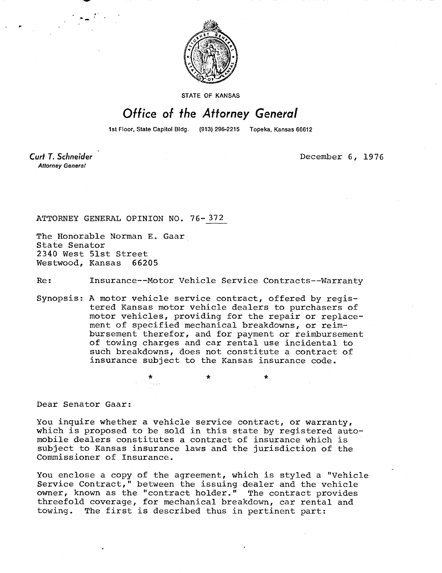

STATE OF KANSAS

## Office of the Attorney General

1st Floor, State Capitol Bldg. (913) 296-2215 Topeka, Kansas 66612

Curt T. Schneider **Attorney General** 

December 6, 1976

ATTORNEY GENERAL OPINION NO. 76-372

The Honorable Norman E. Gaar State Senator 2340 West 51st Street Westwood, Kansas 66205

Re: Insurance--Motor Vehicle Service Contracts--Warranty

Synopsis: A motor vehicle service contract, offered by registered Kansas motor vehicle dealers to purchasers of motor vehicles, providing for the repair or replacement of specified mechanical breakdowns, or reimbursement therefor, and for payment or reimbursement of towing charges and car rental use incidental to such breakdowns, does not constitute a contract of insurance subject to the Kansas insurance code.

\*

Dear Senator Gaar:

You inquire whether a vehicle service contract, or warranty, which is proposed to be sold in this state by registered automobile dealers constitutes a contract of insurance which is subject to Kansas insurance laws and the jurisdiction of the Commissioner of Insurance.

You enclose a copy of the agreement, which is styled a "Vehicle Service Contract," between the issuing dealer and the vehicle owner, known as the "contract holder." The contract provides threefold coverage, for mechanical breakdown, car rental and towing. The first is described thus in pertinent part: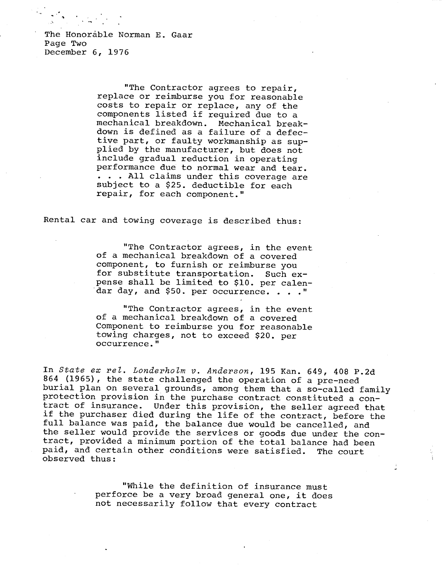The Honorable Norman E. Gaar Page Two December 6, 1976

> "The Contractor agrees to repair, replace or reimburse you for reasonable costs to repair or replace, any of the components listed if required due to a mechanical breakdown. Mechanical breakdown is defined as a failure of a defective part, or faulty workmanship as supplied by the manufacturer, but does not include gradual reduction in operating performance due to normal wear and tear. . . . All claims under this coverage are subject to a \$25. deductible for each repair, for each component."

Rental car and towing coverage is described thus:

"The Contractor agrees, in the event of a mechanical breakdown of a covered component, to furnish or reimburse you for substitute transportation. Such expense shall be limited to \$10. per calendar day, and \$50. per occurrence. . . . "

"The Contractor agrees, in the event of a mechanical breakdown of a covered Component to reimburse you for reasonable towing charges, not to exceed \$20. per occurrence."

In State ex rel. Londerholm v. Anderson, 195 Kan. 649, 408 P.2d 864 (1965), the state challenged the operation of a pre-need burial plan on several grounds, among them that a so-called family protection provision in the purchase contract constituted a contract of insurance. Under this provision, the seller agreed that if the purchaser died during the life of the contract, before the full balance was paid, the balance due would be cancelled, and the seller would provide the services or goods due under the contract, provided a minimum portion of the total balance had been paid, and certain other conditions were satisfied. The court observed thus:

> "While the definition of insurance must perforce be a very broad general one, it does not necessarily follow that every contract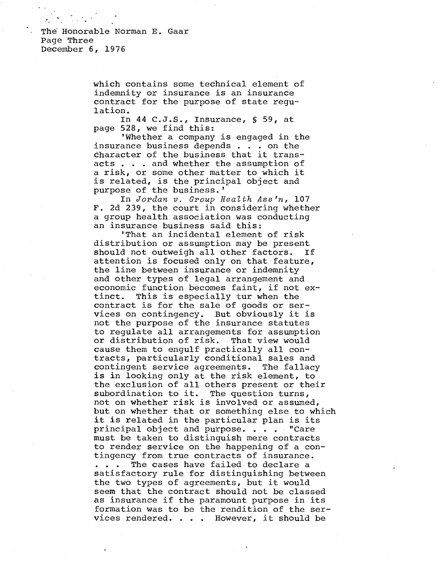The Honorable Norman E. Gaar Page Three December 6, 1976

> which contains some technical element of indemnity or insurance is an insurance contract for the purpose of state regulation.

In 44 C.J.S., Insurance, § 59, at page 528, we find this:

'Whether a company is engaged in the insurance business depends . . . on the character of the business that it transacts . . . and whether the assumption of a risk, or some other matter to which it is related, is the principal object and purpose of the business.'

In Jordan v. Group Health Ass'n, 107 F. 2d 239, the court in considering whether a group health association was conducting an insurance business said this:

'That an incidental element of risk distribution or assumption may be present should not outweigh all other factors. If attention is focused only on that feature, the line between insurance or indemnity and other types of legal arrangement and economic function becomes faint, if not extinct. This is especially tur when the contract is for the sale of goods or services on contingency. But obviously it is not the purpose of the insurance statutes to regulate all arrangements for assumption or distribution of risk. That view would cause them to engulf practically all contracts, particularly conditional sales and contingent service agreements. The fallacy is in looking only at the risk element, to the exclusion of all others present or their subordination to it. The question turns, not on whether risk is involved or assumed, but on whether that or something else to which it is related in the particular plan is its principal object and purpose. . . . "Care must be taken to distinguish mere contracts to render service on the happening of a contingency from true contracts of insurance. . . . The cases have failed to declare a satisfactory rule for distinguishing between the two types of agreements, but it would seem that the contract should not be classed as insurance if the paramount purpose in its formation was to be the rendition of the services rendered. . . . However, it should be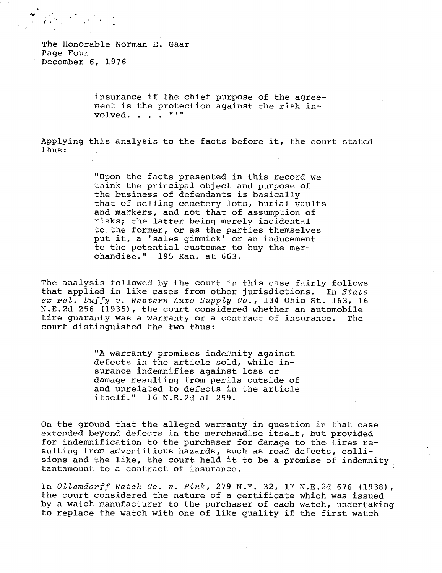The Honorable Norman E. Gaar Page Four December 6, 1976

> insurance if the chief purpose of the agreement is the protection against the risk involved. . . . "'"

Applying this analysis to the facts before it, the court stated thus:

> "Upon the facts presented in this record we think the principal object and purpose of the business of defendants is basically that of selling cemetery lots, burial vaults and markers, and not that of assumption of risks; the latter being merely incidental to the former, or as the parties themselves put it, a 'sales gimmick' or an inducement to the potential customer to buy the merchandise." 195 Kan. at 663.

The analysis followed by the court in this case fairly follows that applied in like cases from other jurisdictions. In State ex rel. Duffy v. Western Auto Supply Co., 134 Ohio St. 163, 16 N.E.2d 256 (1935), the court considered whether an automobile tire guaranty was a warranty or a contract of insurance. The court distinguished the two thus:

> "A warranty promises indemnity against defects in the article sold, while insurance indemnifies against loss or damage resulting from perils outside of and unrelated to defects in the article itself." 16 N.E.2d at 259.

On the ground that the alleged warranty in question in that case extended beyond defects in the merchandise itself, but provided for indemnification to the purchaser for damage to the tires resulting from adventitious hazards, such as road defects, collisions and the like, the court held it to be a promise of indemnity tantamount to a contract of insurance.

In Ollemdorff Watch Co. v. Pink, 279 N.Y. 32, 17 N.E.2d 676 (1938), the court considered the nature of a certificate which was issued by a watch manufacturer to the purchaser of each watch, undertaking to replace the watch with one of like quality if the first watch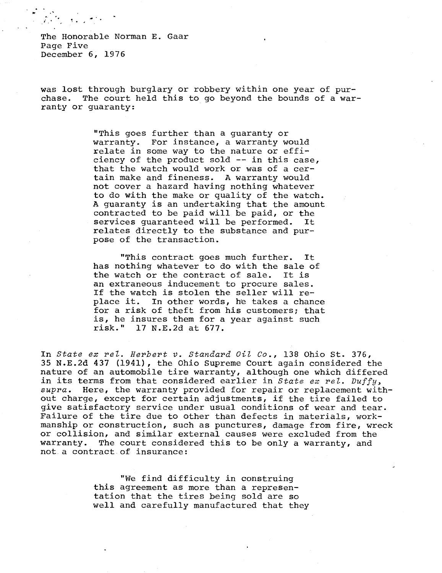The Honorable Norman E. Gaar Page Five December 6, 1976

was lost through burglary or robbery within one year of purchase. The court held this to go beyond the bounds of a warranty or guaranty:

> "This goes further than a guaranty or warranty. For instance, a warranty would relate in some way to the nature or efficiency of the product sold -- in this case, that the watch would work or was of a certain make and fineness. A warranty would not cover a hazard having nothing whatever to do with the make or quality of the watch. A guaranty is an undertaking that the amount contracted to be paid will be paid, or the services guaranteed will be performed. It relates directly to the substance and purpose of the transaction.

> "This contract goes much further. It has nothing whatever to do with the sale of the watch or the contract of sale. It is an extraneous inducement to procure sales. If the watch is stolen the seller will replace it. In other words, he takes a chance for a risk of theft from his customers; that is, he insures them for a year against such risk." 17 N.E.2d at 677.

In State ex rel. Herbert v. Standard Oil Co., 138 Ohio St. 376, 35 N.E.2d 437 (1941), the Ohio Supreme Court again considered the nature of an automobile tire warranty, although one which differed in its terms from that considered earlier in State ex rel. Duffy, supra. Here, the warranty provided for repair or replacement without charge, except for certain adjustments, if the tire failed to give satisfactory service under usual conditions of wear and tear. Failure of the tire due to other than defects in materials, workmanship or construction, such as punctures, damage from fire, wreck or collision, and similar external causes were excluded from the warranty. The court considered this to be only a warranty, and not a contract of insurance:

> "We find difficulty in construing this agreement as more than a representation that the tires being sold are so well and carefully manufactured that they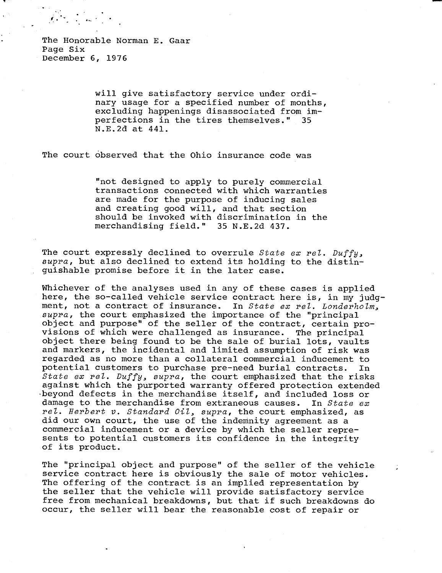will give satisfactory service under ordinary usage for a specified number of months, excluding happenings disassociated from imperfections in the tires themselves." 35 N.E.2d at 441.

The court observed that the Ohio insurance code was

"not designed to apply to purely commercial transactions connected with which warranties are made for the purpose of inducing sales and creating good will, and that section should be invoked with discrimination in the merchandising field." 35 N.E.2d 437.

The court expressly declined to overrule State ex rel. Duffy, supra, but also declined to extend its holding to the distinguishable promise before it in the later case.

Whichever of the analyses used in any of these cases is applied here, the so-called vehicle service contract here is, in my judgment, not a contract of insurance. In State ex rel. Londerholm, supra, the court emphasized the importance of the "principal object and purpose" of the seller of the contract, certain provisions of which were challenged as insurance. The principal object there being found to be the sale of burial lots, vaults and markers, the incidental and limited assumption of risk was regarded as no more than a collateral commercial inducement to potential customers to purchase pre-need burial contracts. In State ex rel. Duffy, supra, the court emphasized that the risks against which the purported warranty offered protection extended •beyond defects in the merchandise itself, and included loss or damage to the merchandise from extraneous causes. In  $State$  ex rel. Herbert v. Standard Oil, supra, the court emphasized, as did our own court, the use of the indemnity agreement as a commercial inducement or a device by which the seller represents to potential customers its confidence in the integrity of its product.

The "principal object and purpose" of the seller of the vehicle service contract here is obviously the sale of motor vehicles. The offering of the contract is an implied representation by the seller that the vehicle will provide satisfactory service free from mechanical breakdowns, but that if such breakdowns do occur, the seller will bear the reasonable cost of repair or